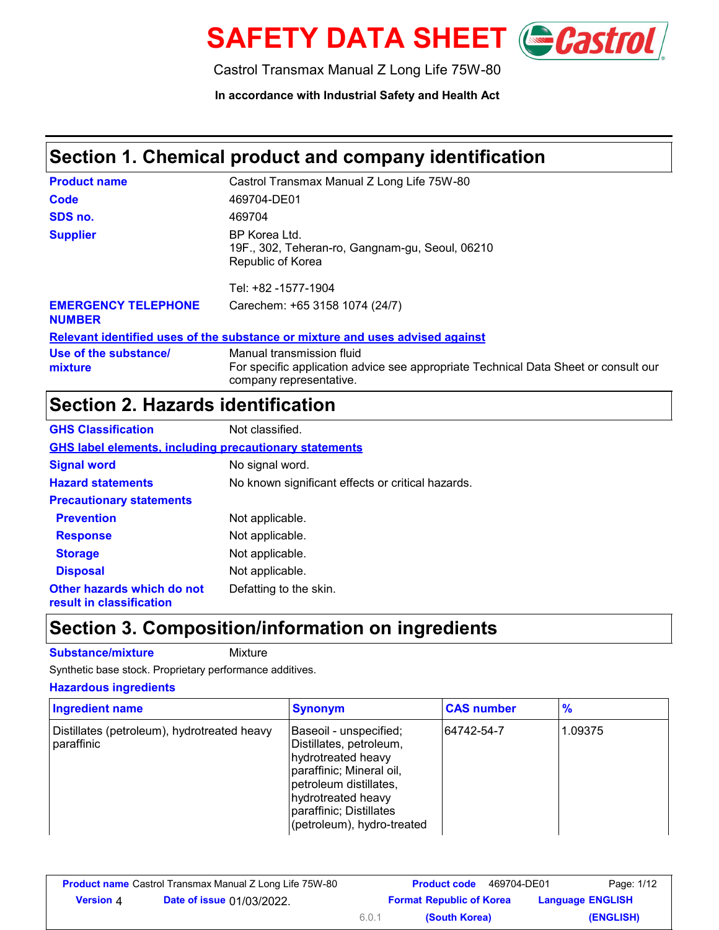

Castrol Transmax Manual Z Long Life 75W-80

**In accordance with Industrial Safety and Health Act**

### **Section 1. Chemical product and company identification**

| <b>Product name</b>                         | Castrol Transmax Manual Z Long Life 75W-80                                                                                                  |
|---------------------------------------------|---------------------------------------------------------------------------------------------------------------------------------------------|
| Code                                        | 469704-DE01                                                                                                                                 |
| SDS no.                                     | 469704                                                                                                                                      |
| <b>Supplier</b>                             | BP Korea Ltd.<br>19F., 302, Teheran-ro, Gangnam-gu, Seoul, 06210<br>Republic of Korea<br>Tel: +82 -1577-1904                                |
| <b>EMERGENCY TELEPHONE</b><br><b>NUMBER</b> | Carechem: +65 3158 1074 (24/7)                                                                                                              |
|                                             | Relevant identified uses of the substance or mixture and uses advised against                                                               |
| Use of the substance/<br>mixture            | Manual transmission fluid<br>For specific application advice see appropriate Technical Data Sheet or consult our<br>company representative. |

# **Section 2. Hazards identification**

| <b>GHS Classification</b>                                     | Not classified.                                   |  |  |
|---------------------------------------------------------------|---------------------------------------------------|--|--|
| <b>GHS label elements, including precautionary statements</b> |                                                   |  |  |
| <b>Signal word</b>                                            | No signal word.                                   |  |  |
| <b>Hazard statements</b>                                      | No known significant effects or critical hazards. |  |  |
| <b>Precautionary statements</b>                               |                                                   |  |  |
| <b>Prevention</b>                                             | Not applicable.                                   |  |  |
| <b>Response</b>                                               | Not applicable.                                   |  |  |
| <b>Storage</b>                                                | Not applicable.                                   |  |  |
| <b>Disposal</b>                                               | Not applicable.                                   |  |  |
| Other hazards which do not<br>result in classification        | Defatting to the skin.                            |  |  |

### **Section 3. Composition/information on ingredients**

**Substance/mixture** Mixture

Synthetic base stock. Proprietary performance additives.

#### **Hazardous ingredients**

| <b>Ingredient name</b>                                    | <b>Synonym</b>                                                                                                                                                                                               | <b>CAS number</b> | $\frac{9}{6}$ |
|-----------------------------------------------------------|--------------------------------------------------------------------------------------------------------------------------------------------------------------------------------------------------------------|-------------------|---------------|
| Distillates (petroleum), hydrotreated heavy<br>paraffinic | Baseoil - unspecified;<br>Distillates, petroleum,<br>hydrotreated heavy<br>paraffinic; Mineral oil,<br>petroleum distillates,<br>hydrotreated heavy<br>paraffinic; Distillates<br>(petroleum), hydro-treated | 64742-54-7        | 1.09375       |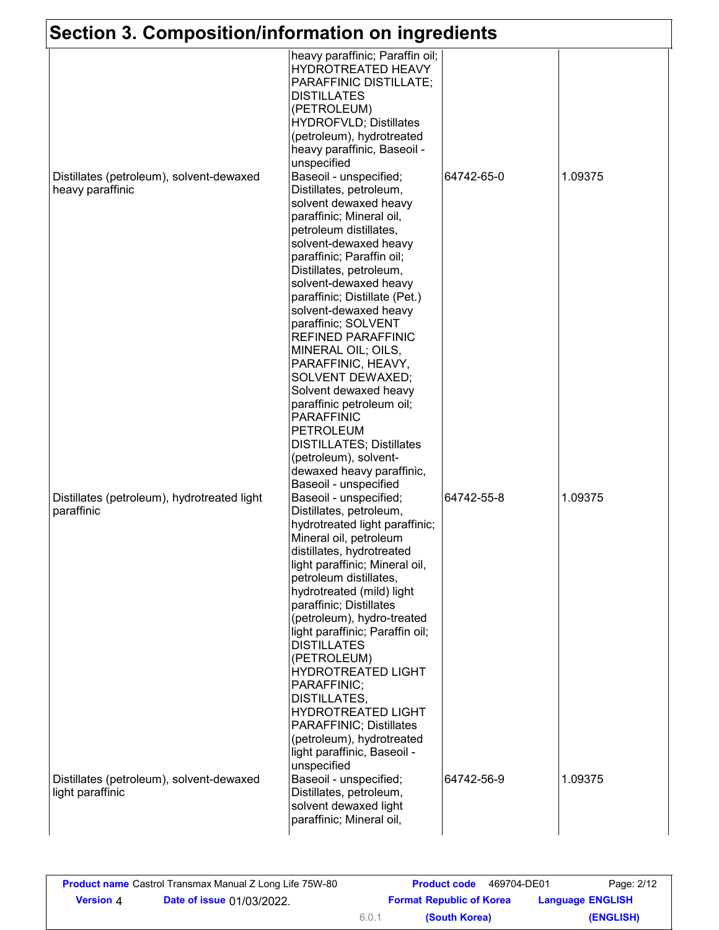| Section 3. Composition/information on ingredients            |                                                                                                                                                                                                                                                                                                                                                                                                                                                                                                                                                                                                                                                                                                    |            |         |
|--------------------------------------------------------------|----------------------------------------------------------------------------------------------------------------------------------------------------------------------------------------------------------------------------------------------------------------------------------------------------------------------------------------------------------------------------------------------------------------------------------------------------------------------------------------------------------------------------------------------------------------------------------------------------------------------------------------------------------------------------------------------------|------------|---------|
|                                                              | heavy paraffinic; Paraffin oil;<br>HYDROTREATED HEAVY<br>PARAFFINIC DISTILLATE;<br><b>DISTILLATES</b><br>(PETROLEUM)<br><b>HYDROFVLD; Distillates</b><br>(petroleum), hydrotreated<br>heavy paraffinic, Baseoil -                                                                                                                                                                                                                                                                                                                                                                                                                                                                                  |            |         |
| Distillates (petroleum), solvent-dewaxed<br>heavy paraffinic | unspecified<br>Baseoil - unspecified;<br>Distillates, petroleum,<br>solvent dewaxed heavy<br>paraffinic; Mineral oil,<br>petroleum distillates,<br>solvent-dewaxed heavy<br>paraffinic; Paraffin oil;<br>Distillates, petroleum,<br>solvent-dewaxed heavy<br>paraffinic; Distillate (Pet.)<br>solvent-dewaxed heavy<br>paraffinic; SOLVENT<br><b>REFINED PARAFFINIC</b><br>MINERAL OIL; OILS,                                                                                                                                                                                                                                                                                                      | 64742-65-0 | 1.09375 |
| Distillates (petroleum), hydrotreated light<br>paraffinic    | PARAFFINIC, HEAVY,<br>SOLVENT DEWAXED;<br>Solvent dewaxed heavy<br>paraffinic petroleum oil;<br><b>PARAFFINIC</b><br><b>PETROLEUM</b><br><b>DISTILLATES; Distillates</b><br>(petroleum), solvent-<br>dewaxed heavy paraffinic,<br>Baseoil - unspecified<br>Baseoil - unspecified;<br>Distillates, petroleum,<br>hydrotreated light paraffinic;<br>Mineral oil, petroleum<br>distillates, hydrotreated<br>light paraffinic; Mineral oil,<br>petroleum distillates,<br>hydrotreated (mild) light<br>paraffinic; Distillates<br>(petroleum), hydro-treated<br>light paraffinic; Paraffin oil;<br><b>DISTILLATES</b><br>(PETROLEUM)<br><b>HYDROTREATED LIGHT</b><br>PARAFFINIC;<br><b>DISTILLATES,</b> | 64742-55-8 | 1.09375 |
| Distillates (petroleum), solvent-dewaxed<br>light paraffinic | <b>HYDROTREATED LIGHT</b><br>PARAFFINIC; Distillates<br>(petroleum), hydrotreated<br>light paraffinic, Baseoil -<br>unspecified<br>Baseoil - unspecified;<br>Distillates, petroleum,<br>solvent dewaxed light<br>paraffinic; Mineral oil,                                                                                                                                                                                                                                                                                                                                                                                                                                                          | 64742-56-9 | 1.09375 |

| <b>Product name</b> Castrol Transmax Manual Z Long Life 75W-80 |                                  |       | 469704-DE01<br><b>Product code</b> | Page: 2/12              |
|----------------------------------------------------------------|----------------------------------|-------|------------------------------------|-------------------------|
| <b>Version 4</b>                                               | <b>Date of issue 01/03/2022.</b> |       | <b>Format Republic of Korea</b>    | <b>Language ENGLISH</b> |
|                                                                |                                  | 6.0.1 | (South Korea)                      | (ENGLISH)               |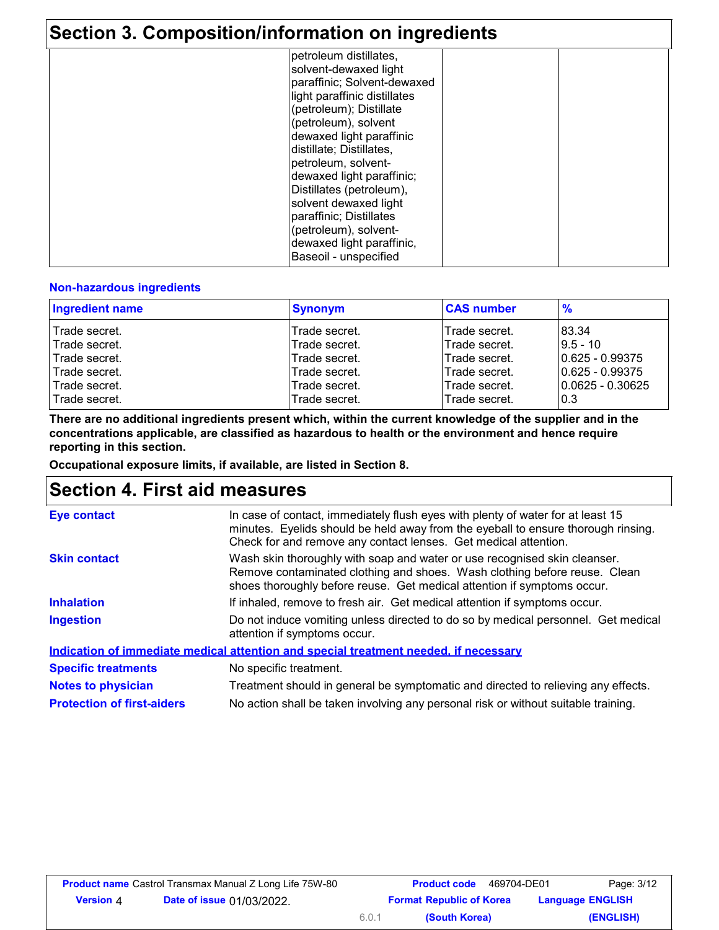### **Section 3. Composition/information on ingredients**

| <u>UUUNI U. UUNIPUSINUMMINUUTIIKKUUN UN MIYIUUUNI U</u> |                                                                                                                |  |
|---------------------------------------------------------|----------------------------------------------------------------------------------------------------------------|--|
|                                                         | petroleum distillates,<br>solvent-dewaxed light<br>paraffinic; Solvent-dewaxed<br>light paraffinic distillates |  |
|                                                         | (petroleum); Distillate                                                                                        |  |
|                                                         | (petroleum), solvent                                                                                           |  |
|                                                         | dewaxed light paraffinic                                                                                       |  |
|                                                         | distillate; Distillates,                                                                                       |  |
|                                                         | petroleum, solvent-                                                                                            |  |
|                                                         | dewaxed light paraffinic;<br>Distillates (petroleum),                                                          |  |
|                                                         | solvent dewaxed light                                                                                          |  |
|                                                         | paraffinic; Distillates                                                                                        |  |
|                                                         | (petroleum), solvent-                                                                                          |  |
|                                                         | dewaxed light paraffinic,                                                                                      |  |
|                                                         | Baseoil - unspecified                                                                                          |  |

#### **Non-hazardous ingredients**

| <b>Ingredient name</b> | <b>Synonym</b> | <b>CAS number</b> | $\frac{9}{6}$       |
|------------------------|----------------|-------------------|---------------------|
| Trade secret.          | Trade secret.  | Trade secret.     | 83.34               |
| Trade secret.          | Trade secret.  | Trade secret.     | $9.5 - 10$          |
| Trade secret.          | Trade secret.  | Trade secret.     | $ 0.625 - 0.99375 $ |
| Trade secret.          | Trade secret.  | Trade secret.     | 10.625 - 0.99375    |
| Trade secret.          | Trade secret.  | Trade secret.     | 10.0625 - 0.30625   |
| Trade secret.          | Trade secret.  | Trade secret.     | l0.3                |

**There are no additional ingredients present which, within the current knowledge of the supplier and in the concentrations applicable, are classified as hazardous to health or the environment and hence require reporting in this section.**

**Occupational exposure limits, if available, are listed in Section 8.**

### **Section 4. First aid measures**

| <b>Eye contact</b>                | In case of contact, immediately flush eyes with plenty of water for at least 15<br>minutes. Eyelids should be held away from the eyeball to ensure thorough rinsing.<br>Check for and remove any contact lenses. Get medical attention. |  |
|-----------------------------------|-----------------------------------------------------------------------------------------------------------------------------------------------------------------------------------------------------------------------------------------|--|
| <b>Skin contact</b>               | Wash skin thoroughly with soap and water or use recognised skin cleanser.<br>Remove contaminated clothing and shoes. Wash clothing before reuse. Clean<br>shoes thoroughly before reuse. Get medical attention if symptoms occur.       |  |
| <b>Inhalation</b>                 | If inhaled, remove to fresh air. Get medical attention if symptoms occur.                                                                                                                                                               |  |
| <b>Ingestion</b>                  | Do not induce vomiting unless directed to do so by medical personnel. Get medical<br>attention if symptoms occur.                                                                                                                       |  |
|                                   | Indication of immediate medical attention and special treatment needed, if necessary                                                                                                                                                    |  |
| <b>Specific treatments</b>        | No specific treatment.                                                                                                                                                                                                                  |  |
| <b>Notes to physician</b>         | Treatment should in general be symptomatic and directed to relieving any effects.                                                                                                                                                       |  |
| <b>Protection of first-aiders</b> | No action shall be taken involving any personal risk or without suitable training.                                                                                                                                                      |  |

6.0.1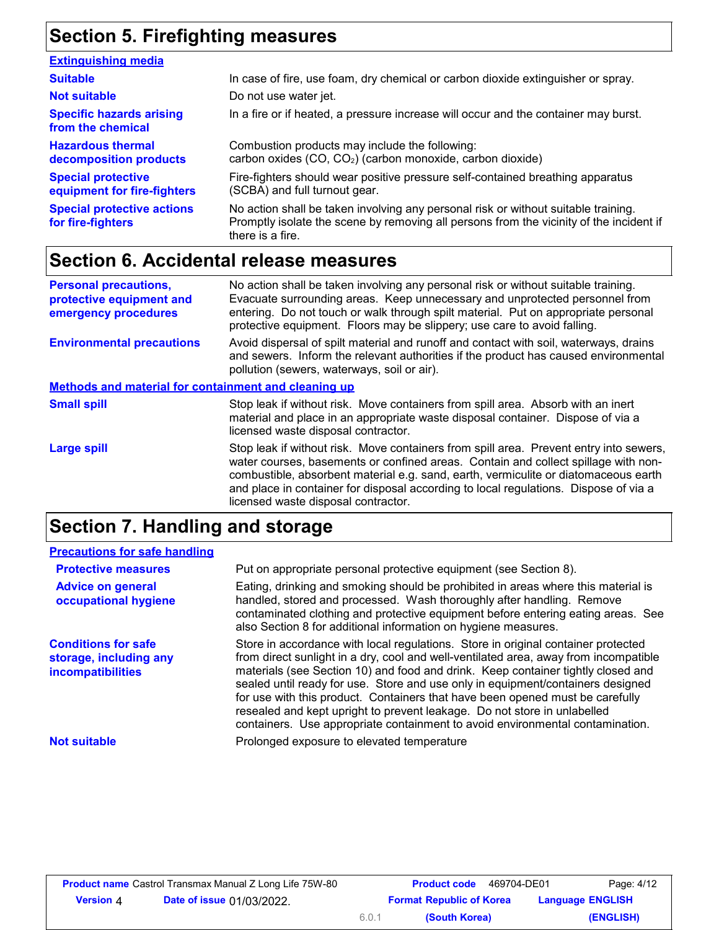# **Section 5. Firefighting measures**

| <b>Extinguishing media</b>                               |                                                                                                                                                                                                   |
|----------------------------------------------------------|---------------------------------------------------------------------------------------------------------------------------------------------------------------------------------------------------|
| <b>Suitable</b>                                          | In case of fire, use foam, dry chemical or carbon dioxide extinguisher or spray.                                                                                                                  |
| <b>Not suitable</b>                                      | Do not use water jet.                                                                                                                                                                             |
| <b>Specific hazards arising</b><br>from the chemical     | In a fire or if heated, a pressure increase will occur and the container may burst.                                                                                                               |
| <b>Hazardous thermal</b><br>decomposition products       | Combustion products may include the following:<br>carbon oxides (CO, CO <sub>2</sub> ) (carbon monoxide, carbon dioxide)                                                                          |
| <b>Special protective</b><br>equipment for fire-fighters | Fire-fighters should wear positive pressure self-contained breathing apparatus<br>(SCBA) and full turnout gear.                                                                                   |
| <b>Special protective actions</b><br>for fire-fighters   | No action shall be taken involving any personal risk or without suitable training.<br>Promptly isolate the scene by removing all persons from the vicinity of the incident if<br>there is a fire. |

## **Section 6. Accidental release measures**

| <b>Personal precautions,</b><br>protective equipment and<br>emergency procedures | No action shall be taken involving any personal risk or without suitable training.<br>Evacuate surrounding areas. Keep unnecessary and unprotected personnel from<br>entering. Do not touch or walk through spilt material. Put on appropriate personal<br>protective equipment. Floors may be slippery; use care to avoid falling.                                                                |  |  |
|----------------------------------------------------------------------------------|----------------------------------------------------------------------------------------------------------------------------------------------------------------------------------------------------------------------------------------------------------------------------------------------------------------------------------------------------------------------------------------------------|--|--|
| <b>Environmental precautions</b>                                                 | Avoid dispersal of spilt material and runoff and contact with soil, waterways, drains<br>and sewers. Inform the relevant authorities if the product has caused environmental<br>pollution (sewers, waterways, soil or air).                                                                                                                                                                        |  |  |
| Methods and material for containment and cleaning up                             |                                                                                                                                                                                                                                                                                                                                                                                                    |  |  |
| <b>Small spill</b>                                                               | Stop leak if without risk. Move containers from spill area. Absorb with an inert<br>material and place in an appropriate waste disposal container. Dispose of via a<br>licensed waste disposal contractor.                                                                                                                                                                                         |  |  |
| <b>Large spill</b>                                                               | Stop leak if without risk. Move containers from spill area. Prevent entry into sewers,<br>water courses, basements or confined areas. Contain and collect spillage with non-<br>combustible, absorbent material e.g. sand, earth, vermiculite or diatomaceous earth<br>and place in container for disposal according to local regulations. Dispose of via a<br>licensed waste disposal contractor. |  |  |

## **Section 7. Handling and storage**

| <b>Precautions for safe handling</b>                                             |                                                                                                                                                                                                                                                                                                                                                                                                                                                                                                                                                                                                |
|----------------------------------------------------------------------------------|------------------------------------------------------------------------------------------------------------------------------------------------------------------------------------------------------------------------------------------------------------------------------------------------------------------------------------------------------------------------------------------------------------------------------------------------------------------------------------------------------------------------------------------------------------------------------------------------|
| <b>Protective measures</b>                                                       | Put on appropriate personal protective equipment (see Section 8).                                                                                                                                                                                                                                                                                                                                                                                                                                                                                                                              |
| <b>Advice on general</b><br>occupational hygiene                                 | Eating, drinking and smoking should be prohibited in areas where this material is<br>handled, stored and processed. Wash thoroughly after handling. Remove<br>contaminated clothing and protective equipment before entering eating areas. See<br>also Section 8 for additional information on hygiene measures.                                                                                                                                                                                                                                                                               |
| <b>Conditions for safe</b><br>storage, including any<br><b>incompatibilities</b> | Store in accordance with local regulations. Store in original container protected<br>from direct sunlight in a dry, cool and well-ventilated area, away from incompatible<br>materials (see Section 10) and food and drink. Keep container tightly closed and<br>sealed until ready for use. Store and use only in equipment/containers designed<br>for use with this product. Containers that have been opened must be carefully<br>resealed and kept upright to prevent leakage. Do not store in unlabelled<br>containers. Use appropriate containment to avoid environmental contamination. |
| <b>Not suitable</b>                                                              | Prolonged exposure to elevated temperature                                                                                                                                                                                                                                                                                                                                                                                                                                                                                                                                                     |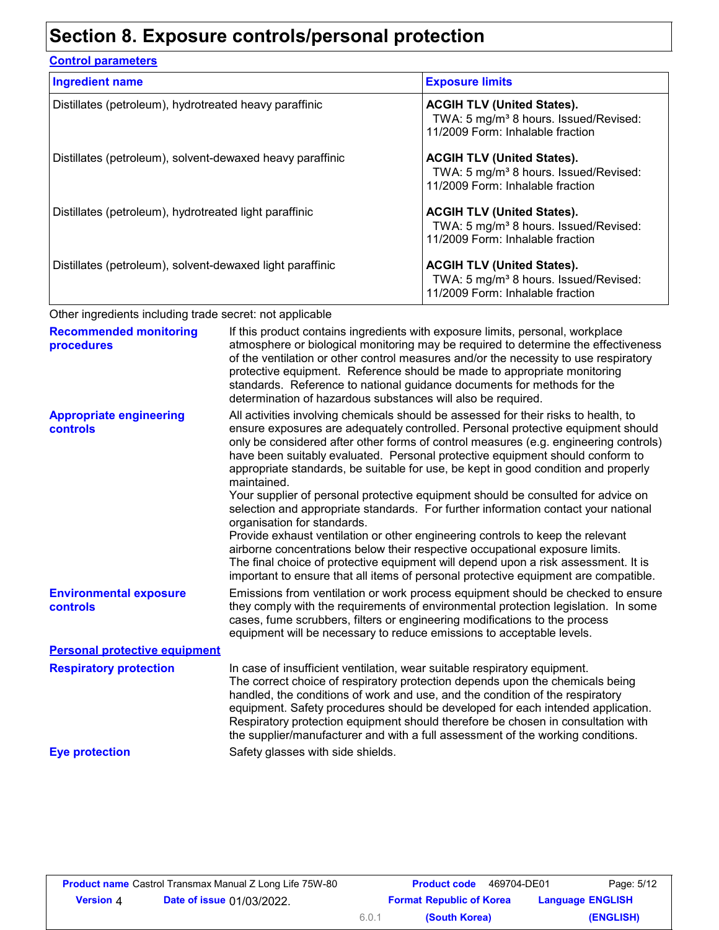## **Section 8. Exposure controls/personal protection**

| <b>Control parameters</b>                                 |                                                                                                                            |  |
|-----------------------------------------------------------|----------------------------------------------------------------------------------------------------------------------------|--|
| <b>Ingredient name</b>                                    | <b>Exposure limits</b>                                                                                                     |  |
| Distillates (petroleum), hydrotreated heavy paraffinic    | <b>ACGIH TLV (United States).</b><br>TWA: 5 mg/m <sup>3</sup> 8 hours. Issued/Revised:<br>11/2009 Form: Inhalable fraction |  |
| Distillates (petroleum), solvent-dewaxed heavy paraffinic | <b>ACGIH TLV (United States).</b><br>TWA: 5 mg/m <sup>3</sup> 8 hours. Issued/Revised:<br>11/2009 Form: Inhalable fraction |  |
| Distillates (petroleum), hydrotreated light paraffinic    | <b>ACGIH TLV (United States).</b><br>TWA: 5 mg/m <sup>3</sup> 8 hours. Issued/Revised:<br>11/2009 Form: Inhalable fraction |  |
| Distillates (petroleum), solvent-dewaxed light paraffinic | <b>ACGIH TLV (United States).</b><br>TWA: 5 mg/m <sup>3</sup> 8 hours. Issued/Revised:<br>11/2009 Form: Inhalable fraction |  |

Other ingredients including trade secret: not applicable

| <b>Recommended monitoring</b><br>procedures | If this product contains ingredients with exposure limits, personal, workplace<br>atmosphere or biological monitoring may be required to determine the effectiveness<br>of the ventilation or other control measures and/or the necessity to use respiratory<br>protective equipment. Reference should be made to appropriate monitoring<br>standards. Reference to national guidance documents for methods for the<br>determination of hazardous substances will also be required.                                                                                                                                                                                                                                                                                                                                                                                                                                                                                                                           |
|---------------------------------------------|---------------------------------------------------------------------------------------------------------------------------------------------------------------------------------------------------------------------------------------------------------------------------------------------------------------------------------------------------------------------------------------------------------------------------------------------------------------------------------------------------------------------------------------------------------------------------------------------------------------------------------------------------------------------------------------------------------------------------------------------------------------------------------------------------------------------------------------------------------------------------------------------------------------------------------------------------------------------------------------------------------------|
| <b>Appropriate engineering</b><br>controls  | All activities involving chemicals should be assessed for their risks to health, to<br>ensure exposures are adequately controlled. Personal protective equipment should<br>only be considered after other forms of control measures (e.g. engineering controls)<br>have been suitably evaluated. Personal protective equipment should conform to<br>appropriate standards, be suitable for use, be kept in good condition and properly<br>maintained.<br>Your supplier of personal protective equipment should be consulted for advice on<br>selection and appropriate standards. For further information contact your national<br>organisation for standards.<br>Provide exhaust ventilation or other engineering controls to keep the relevant<br>airborne concentrations below their respective occupational exposure limits.<br>The final choice of protective equipment will depend upon a risk assessment. It is<br>important to ensure that all items of personal protective equipment are compatible. |
| <b>Environmental exposure</b><br>controls   | Emissions from ventilation or work process equipment should be checked to ensure<br>they comply with the requirements of environmental protection legislation. In some<br>cases, fume scrubbers, filters or engineering modifications to the process<br>equipment will be necessary to reduce emissions to acceptable levels.                                                                                                                                                                                                                                                                                                                                                                                                                                                                                                                                                                                                                                                                                 |
| <b>Personal protective equipment</b>        |                                                                                                                                                                                                                                                                                                                                                                                                                                                                                                                                                                                                                                                                                                                                                                                                                                                                                                                                                                                                               |
| <b>Respiratory protection</b>               | In case of insufficient ventilation, wear suitable respiratory equipment.<br>The correct choice of respiratory protection depends upon the chemicals being<br>handled, the conditions of work and use, and the condition of the respiratory<br>equipment. Safety procedures should be developed for each intended application.<br>Respiratory protection equipment should therefore be chosen in consultation with<br>the supplier/manufacturer and with a full assessment of the working conditions.                                                                                                                                                                                                                                                                                                                                                                                                                                                                                                         |
| <b>Eye protection</b>                       | Safety glasses with side shields.                                                                                                                                                                                                                                                                                                                                                                                                                                                                                                                                                                                                                                                                                                                                                                                                                                                                                                                                                                             |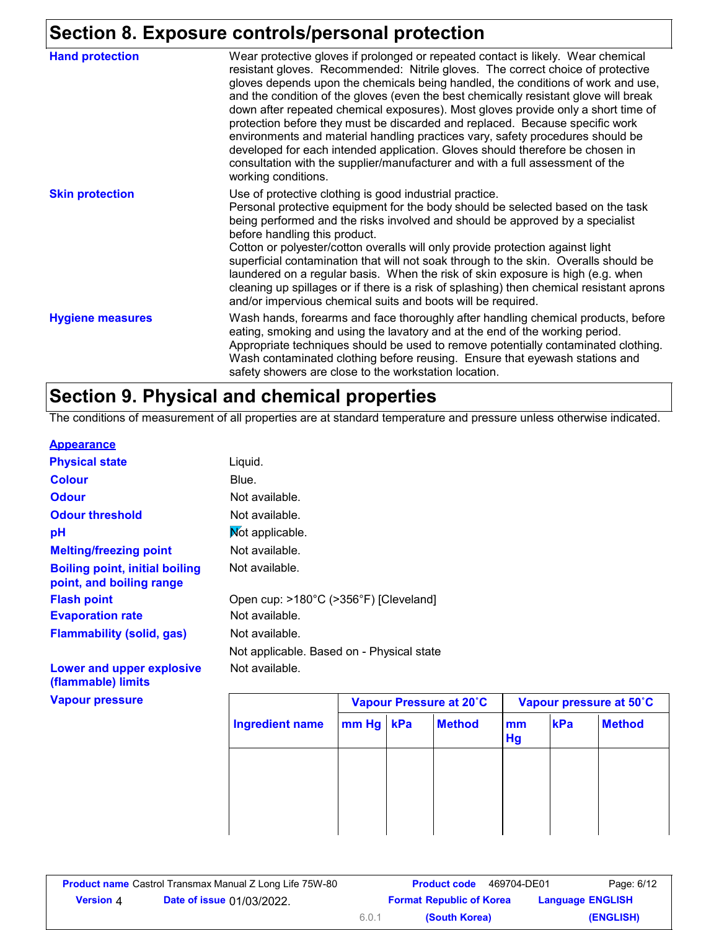### **Section 8. Exposure controls/personal protection**

| <b>Hand protection</b>  | Wear protective gloves if prolonged or repeated contact is likely. Wear chemical<br>resistant gloves. Recommended: Nitrile gloves. The correct choice of protective<br>gloves depends upon the chemicals being handled, the conditions of work and use,<br>and the condition of the gloves (even the best chemically resistant glove will break<br>down after repeated chemical exposures). Most gloves provide only a short time of<br>protection before they must be discarded and replaced. Because specific work<br>environments and material handling practices vary, safety procedures should be<br>developed for each intended application. Gloves should therefore be chosen in<br>consultation with the supplier/manufacturer and with a full assessment of the<br>working conditions. |
|-------------------------|-------------------------------------------------------------------------------------------------------------------------------------------------------------------------------------------------------------------------------------------------------------------------------------------------------------------------------------------------------------------------------------------------------------------------------------------------------------------------------------------------------------------------------------------------------------------------------------------------------------------------------------------------------------------------------------------------------------------------------------------------------------------------------------------------|
| <b>Skin protection</b>  | Use of protective clothing is good industrial practice.<br>Personal protective equipment for the body should be selected based on the task<br>being performed and the risks involved and should be approved by a specialist<br>before handling this product.<br>Cotton or polyester/cotton overalls will only provide protection against light<br>superficial contamination that will not soak through to the skin. Overalls should be<br>laundered on a regular basis. When the risk of skin exposure is high (e.g. when<br>cleaning up spillages or if there is a risk of splashing) then chemical resistant aprons<br>and/or impervious chemical suits and boots will be required.                                                                                                           |
| <b>Hygiene measures</b> | Wash hands, forearms and face thoroughly after handling chemical products, before<br>eating, smoking and using the lavatory and at the end of the working period.<br>Appropriate techniques should be used to remove potentially contaminated clothing.<br>Wash contaminated clothing before reusing. Ensure that eyewash stations and<br>safety showers are close to the workstation location.                                                                                                                                                                                                                                                                                                                                                                                                 |

## **Section 9. Physical and chemical properties**

The conditions of measurement of all properties are at standard temperature and pressure unless otherwise indicated.

#### **Appearance**

| <b>Physical state</b>                                             | Liquid.                                   |                         |
|-------------------------------------------------------------------|-------------------------------------------|-------------------------|
| <b>Colour</b>                                                     | Blue.                                     |                         |
| <b>Odour</b>                                                      | Not available.                            |                         |
| <b>Odour threshold</b>                                            | Not available.                            |                         |
| рH                                                                | Not applicable.                           |                         |
| <b>Melting/freezing point</b>                                     | Not available.                            |                         |
| <b>Boiling point, initial boiling</b><br>point, and boiling range | Not available.                            |                         |
| <b>Flash point</b>                                                | Open cup: >180°C (>356°F) [Cleveland]     |                         |
| <b>Evaporation rate</b>                                           | Not available.                            |                         |
| <b>Flammability (solid, gas)</b>                                  | Not available.                            |                         |
|                                                                   | Not applicable. Based on - Physical state |                         |
| Lower and upper explosive<br>(flammable) limits                   | Not available.                            |                         |
| <b>Vapour pressure</b>                                            |                                           | Vapour Pressure at 20°C |

|                        |           | Vapour Pressure at 20°C |               |          | Vapour pressure at 50°C |               |  |
|------------------------|-----------|-------------------------|---------------|----------|-------------------------|---------------|--|
| <b>Ingredient name</b> | mm Hg kPa |                         | <b>Method</b> | mm<br>Hg | kPa                     | <b>Method</b> |  |
|                        |           |                         |               |          |                         |               |  |
|                        |           |                         |               |          |                         |               |  |
|                        |           |                         |               |          |                         |               |  |
|                        |           |                         |               |          |                         |               |  |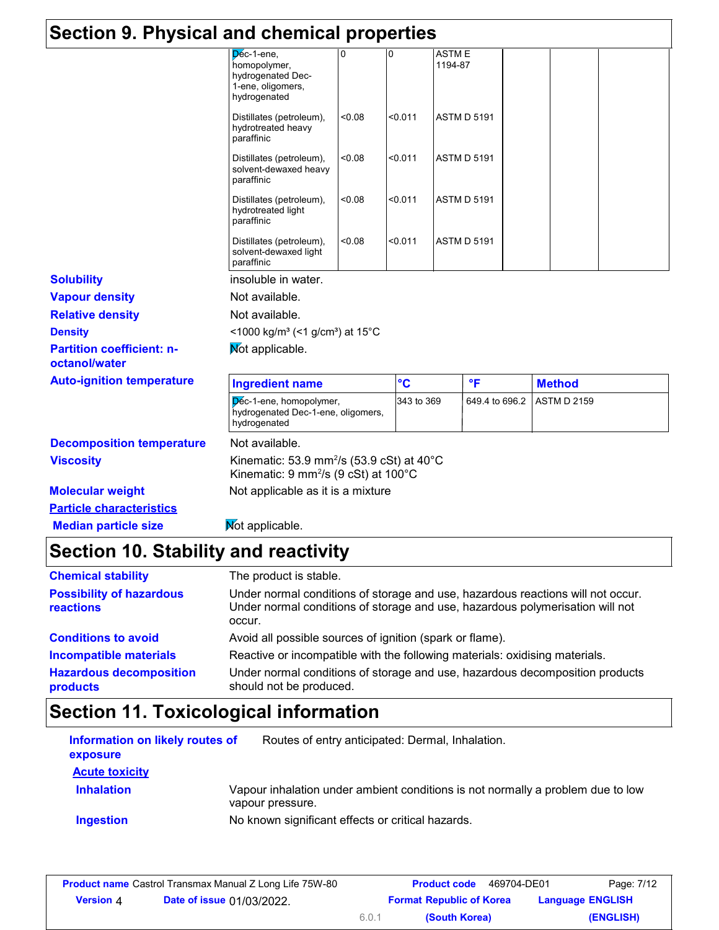| Section 9. Physical and chemical properties       |                                                                                                                     |        |            |                         |                    |                    |  |
|---------------------------------------------------|---------------------------------------------------------------------------------------------------------------------|--------|------------|-------------------------|--------------------|--------------------|--|
|                                                   | Dec-1-ene,<br>homopolymer,<br>hydrogenated Dec-<br>1-ene, oligomers,<br>hydrogenated                                |        | 0          | <b>ASTME</b><br>1194-87 |                    |                    |  |
|                                                   | Distillates (petroleum),<br>hydrotreated heavy<br>paraffinic                                                        | <0.08  | < 0.011    |                         | <b>ASTM D 5191</b> |                    |  |
|                                                   | Distillates (petroleum),<br>solvent-dewaxed heavy<br>paraffinic                                                     | 0.08   | < 0.011    |                         | <b>ASTM D 5191</b> |                    |  |
|                                                   | Distillates (petroleum),<br>hydrotreated light<br>paraffinic                                                        | <0.08  | < 0.011    |                         | <b>ASTM D 5191</b> |                    |  |
|                                                   | Distillates (petroleum),<br>solvent-dewaxed light<br>paraffinic                                                     | < 0.08 | < 0.011    |                         | <b>ASTM D 5191</b> |                    |  |
| <b>Solubility</b>                                 | insoluble in water.                                                                                                 |        |            |                         |                    |                    |  |
| <b>Vapour density</b>                             | Not available.                                                                                                      |        |            |                         |                    |                    |  |
| <b>Relative density</b>                           | Not available.                                                                                                      |        |            |                         |                    |                    |  |
| <b>Density</b>                                    | <1000 kg/m <sup>3</sup> (<1 g/cm <sup>3</sup> ) at 15°C                                                             |        |            |                         |                    |                    |  |
| <b>Partition coefficient: n-</b><br>octanol/water | Not applicable.                                                                                                     |        |            |                         |                    |                    |  |
| <b>Auto-ignition temperature</b>                  | <b>Ingredient name</b>                                                                                              |        | °C         |                         | $\mathsf{P}$       | <b>Method</b>      |  |
|                                                   | Dec-1-ene, homopolymer,<br>hydrogenated Dec-1-ene, oligomers,<br>hydrogenated                                       |        | 343 to 369 |                         | 649.4 to 696.2     | <b>ASTM D 2159</b> |  |
| <b>Decomposition temperature</b>                  | Not available.                                                                                                      |        |            |                         |                    |                    |  |
| <b>Viscosity</b>                                  | Kinematic: 53.9 mm <sup>2</sup> /s (53.9 cSt) at $40^{\circ}$ C<br>Kinematic: 9 mm <sup>2</sup> /s (9 cSt) at 100°C |        |            |                         |                    |                    |  |
| <b>Molecular weight</b>                           | Not applicable as it is a mixture                                                                                   |        |            |                         |                    |                    |  |
| <b>Particle characteristics</b>                   |                                                                                                                     |        |            |                         |                    |                    |  |
| <b>Median particle size</b>                       | Not applicable.                                                                                                     |        |            |                         |                    |                    |  |

| <b>Chemical stability</b>                           | The product is stable.                                                                                                                                                     |
|-----------------------------------------------------|----------------------------------------------------------------------------------------------------------------------------------------------------------------------------|
| <b>Possibility of hazardous</b><br><b>reactions</b> | Under normal conditions of storage and use, hazardous reactions will not occur.<br>Under normal conditions of storage and use, hazardous polymerisation will not<br>occur. |
| <b>Conditions to avoid</b>                          | Avoid all possible sources of ignition (spark or flame).                                                                                                                   |
| <b>Incompatible materials</b>                       | Reactive or incompatible with the following materials: oxidising materials.                                                                                                |
| <b>Hazardous decomposition</b><br>products          | Under normal conditions of storage and use, hazardous decomposition products<br>should not be produced.                                                                    |

# **Section 11. Toxicological information**

| Information on likely routes of<br>exposure | Routes of entry anticipated: Dermal, Inhalation.                                                    |
|---------------------------------------------|-----------------------------------------------------------------------------------------------------|
| <b>Acute toxicity</b>                       |                                                                                                     |
| <b>Inhalation</b>                           | Vapour inhalation under ambient conditions is not normally a problem due to low<br>vapour pressure. |
| <b>Ingestion</b>                            | No known significant effects or critical hazards.                                                   |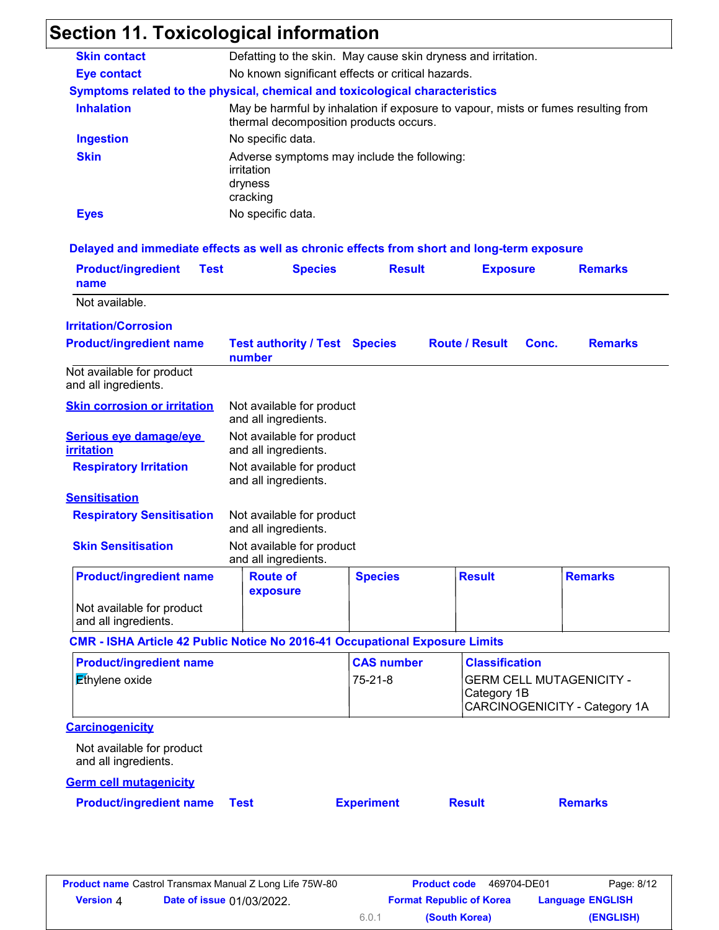# **Section 11. Toxicological information**

| <b>Skin contact</b> | Defatting to the skin. May cause skin dryness and irritation.                                                               |
|---------------------|-----------------------------------------------------------------------------------------------------------------------------|
| <b>Eye contact</b>  | No known significant effects or critical hazards.                                                                           |
|                     | Symptoms related to the physical, chemical and toxicological characteristics                                                |
| <b>Inhalation</b>   | May be harmful by inhalation if exposure to vapour, mists or fumes resulting from<br>thermal decomposition products occurs. |
| <b>Ingestion</b>    | No specific data.                                                                                                           |
| <b>Skin</b>         | Adverse symptoms may include the following:<br>irritation<br>dryness<br>cracking                                            |
| <b>Eyes</b>         | No specific data.                                                                                                           |

#### **Delayed and immediate effects as well as chronic effects from short and long-term exposure**

| <b>Product/ingredient</b><br><b>Test</b><br>name                                   | <b>Species</b>                                    | <b>Result</b>     | <b>Exposure</b>       |       | <b>Remarks</b>                                                   |
|------------------------------------------------------------------------------------|---------------------------------------------------|-------------------|-----------------------|-------|------------------------------------------------------------------|
| Not available.                                                                     |                                                   |                   |                       |       |                                                                  |
| <b>Irritation/Corrosion</b>                                                        |                                                   |                   |                       |       |                                                                  |
| <b>Product/ingredient name</b>                                                     | <b>Test authority / Test Species</b><br>number    |                   | <b>Route / Result</b> | Conc. | <b>Remarks</b>                                                   |
| Not available for product<br>and all ingredients.                                  |                                                   |                   |                       |       |                                                                  |
| <b>Skin corrosion or irritation</b>                                                | Not available for product<br>and all ingredients. |                   |                       |       |                                                                  |
| Serious eye damage/eye<br><b>irritation</b>                                        | Not available for product<br>and all ingredients. |                   |                       |       |                                                                  |
| <b>Respiratory Irritation</b>                                                      | Not available for product<br>and all ingredients. |                   |                       |       |                                                                  |
| <b>Sensitisation</b>                                                               |                                                   |                   |                       |       |                                                                  |
| <b>Respiratory Sensitisation</b>                                                   | Not available for product<br>and all ingredients. |                   |                       |       |                                                                  |
| <b>Skin Sensitisation</b>                                                          | Not available for product<br>and all ingredients. |                   |                       |       |                                                                  |
| <b>Product/ingredient name</b>                                                     | <b>Route of</b><br>exposure                       | <b>Species</b>    | <b>Result</b>         |       | <b>Remarks</b>                                                   |
| Not available for product<br>and all ingredients.                                  |                                                   |                   |                       |       |                                                                  |
| <b>CMR - ISHA Article 42 Public Notice No 2016-41 Occupational Exposure Limits</b> |                                                   |                   |                       |       |                                                                  |
| <b>Product/ingredient name</b>                                                     |                                                   | <b>CAS number</b> | <b>Classification</b> |       |                                                                  |
| Ethylene oxide                                                                     |                                                   | $75 - 21 - 8$     | Category 1B           |       | <b>GERM CELL MUTAGENICITY -</b><br>CARCINOGENICITY - Category 1A |
| <b>Carcinogenicity</b>                                                             |                                                   |                   |                       |       |                                                                  |
| Not available for product<br>and all ingredients.                                  |                                                   |                   |                       |       |                                                                  |
| <b>Germ cell mutagenicity</b>                                                      |                                                   |                   |                       |       |                                                                  |
| <b>Product/ingredient name</b>                                                     | <b>Test</b>                                       | <b>Experiment</b> | <b>Result</b>         |       | <b>Remarks</b>                                                   |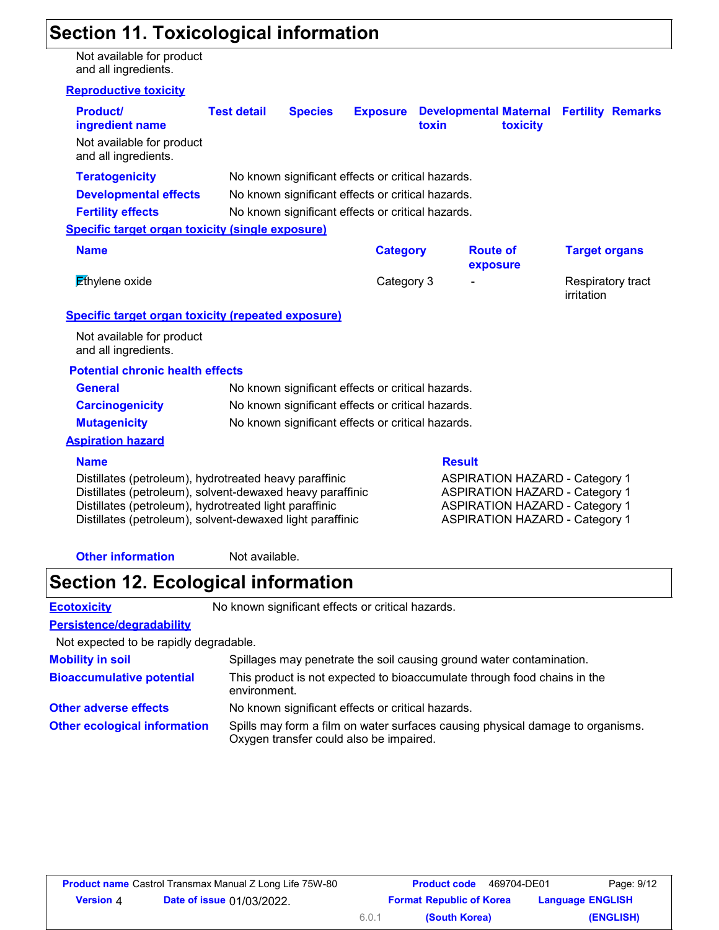## **Section 11. Toxicological information**

Not available for product and all ingredients.

#### **Reproductive toxicity**

| <b>Product/</b><br>ingredient name                                                                                                                                                                                                         | <b>Test detail</b> | <b>Species</b> | <b>Exposure</b>                                   | toxin         | toxicity                                                                                                                                                         | <b>Developmental Maternal Fertility Remarks</b> |
|--------------------------------------------------------------------------------------------------------------------------------------------------------------------------------------------------------------------------------------------|--------------------|----------------|---------------------------------------------------|---------------|------------------------------------------------------------------------------------------------------------------------------------------------------------------|-------------------------------------------------|
| Not available for product<br>and all ingredients.                                                                                                                                                                                          |                    |                |                                                   |               |                                                                                                                                                                  |                                                 |
| <b>Teratogenicity</b>                                                                                                                                                                                                                      |                    |                | No known significant effects or critical hazards. |               |                                                                                                                                                                  |                                                 |
| <b>Developmental effects</b>                                                                                                                                                                                                               |                    |                | No known significant effects or critical hazards. |               |                                                                                                                                                                  |                                                 |
| <b>Fertility effects</b>                                                                                                                                                                                                                   |                    |                | No known significant effects or critical hazards. |               |                                                                                                                                                                  |                                                 |
| <b>Specific target organ toxicity (single exposure)</b>                                                                                                                                                                                    |                    |                |                                                   |               |                                                                                                                                                                  |                                                 |
| <b>Name</b>                                                                                                                                                                                                                                |                    |                | <b>Category</b>                                   |               | <b>Route of</b><br>exposure                                                                                                                                      | <b>Target organs</b>                            |
| $E$ thylene oxide                                                                                                                                                                                                                          |                    |                | Category 3                                        |               |                                                                                                                                                                  | Respiratory tract<br>irritation                 |
| <b>Specific target organ toxicity (repeated exposure)</b>                                                                                                                                                                                  |                    |                |                                                   |               |                                                                                                                                                                  |                                                 |
| Not available for product<br>and all ingredients.                                                                                                                                                                                          |                    |                |                                                   |               |                                                                                                                                                                  |                                                 |
| <b>Potential chronic health effects</b>                                                                                                                                                                                                    |                    |                |                                                   |               |                                                                                                                                                                  |                                                 |
| <b>General</b>                                                                                                                                                                                                                             |                    |                | No known significant effects or critical hazards. |               |                                                                                                                                                                  |                                                 |
| <b>Carcinogenicity</b>                                                                                                                                                                                                                     |                    |                | No known significant effects or critical hazards. |               |                                                                                                                                                                  |                                                 |
| <b>Mutagenicity</b>                                                                                                                                                                                                                        |                    |                | No known significant effects or critical hazards. |               |                                                                                                                                                                  |                                                 |
| <b>Aspiration hazard</b>                                                                                                                                                                                                                   |                    |                |                                                   |               |                                                                                                                                                                  |                                                 |
| <b>Name</b>                                                                                                                                                                                                                                |                    |                |                                                   | <b>Result</b> |                                                                                                                                                                  |                                                 |
| Distillates (petroleum), hydrotreated heavy paraffinic<br>Distillates (petroleum), solvent-dewaxed heavy paraffinic<br>Distillates (petroleum), hydrotreated light paraffinic<br>Distillates (petroleum), solvent-dewaxed light paraffinic |                    |                |                                                   |               | <b>ASPIRATION HAZARD - Category 1</b><br><b>ASPIRATION HAZARD - Category 1</b><br><b>ASPIRATION HAZARD - Category 1</b><br><b>ASPIRATION HAZARD - Category 1</b> |                                                 |
| <b>Other information</b>                                                                                                                                                                                                                   | Not available.     |                |                                                   |               |                                                                                                                                                                  |                                                 |

### **Section 12. Ecological information**

**Ecotoxicity** No known significant effects or critical hazards.

### **Persistence/degradability**

Not expected to be rapidly degradable.

| <b>Mobility in soil</b>             | Spillages may penetrate the soil causing ground water contamination.                                                      |
|-------------------------------------|---------------------------------------------------------------------------------------------------------------------------|
| <b>Bioaccumulative potential</b>    | This product is not expected to bioaccumulate through food chains in the<br>environment.                                  |
| <b>Other adverse effects</b>        | No known significant effects or critical hazards.                                                                         |
| <b>Other ecological information</b> | Spills may form a film on water surfaces causing physical damage to organisms.<br>Oxygen transfer could also be impaired. |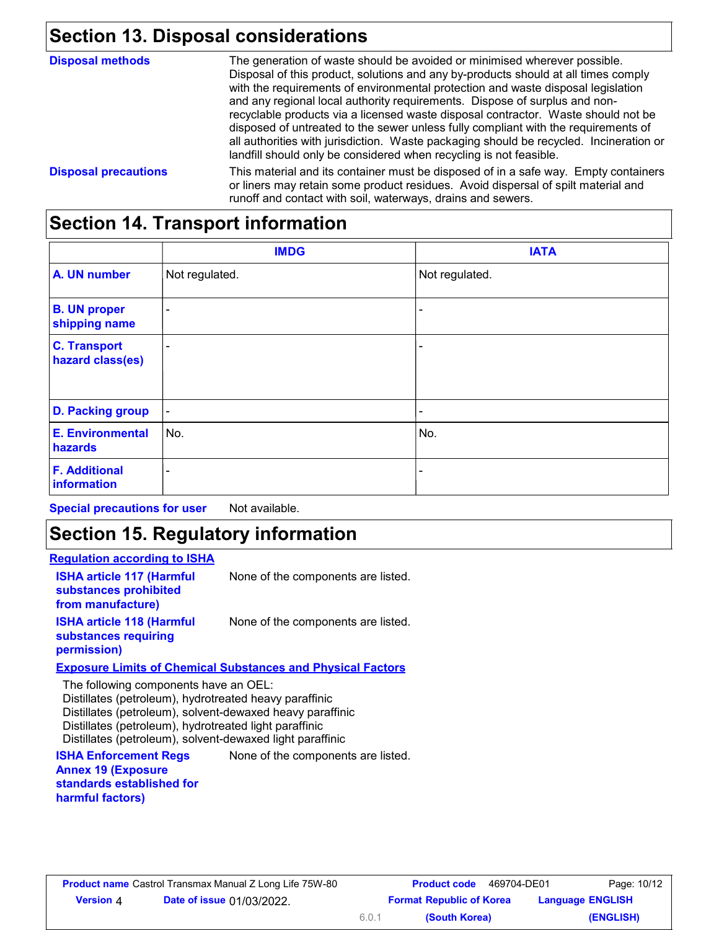## **Section 13. Disposal considerations**

| <b>Disposal methods</b>     | The generation of waste should be avoided or minimised wherever possible.                                                                                                                                                                                                                                                                                                                                                                                                                                                                                                                       |
|-----------------------------|-------------------------------------------------------------------------------------------------------------------------------------------------------------------------------------------------------------------------------------------------------------------------------------------------------------------------------------------------------------------------------------------------------------------------------------------------------------------------------------------------------------------------------------------------------------------------------------------------|
|                             | Disposal of this product, solutions and any by-products should at all times comply<br>with the requirements of environmental protection and waste disposal legislation<br>and any regional local authority requirements. Dispose of surplus and non-<br>recyclable products via a licensed waste disposal contractor. Waste should not be<br>disposed of untreated to the sewer unless fully compliant with the requirements of<br>all authorities with jurisdiction. Waste packaging should be recycled. Incineration or<br>landfill should only be considered when recycling is not feasible. |
| <b>Disposal precautions</b> | This material and its container must be disposed of in a safe way. Empty containers<br>or liners may retain some product residues. Avoid dispersal of spilt material and<br>runoff and contact with soil, waterways, drains and sewers.                                                                                                                                                                                                                                                                                                                                                         |

# **Section 14. Transport information**

|                                         | <b>IMDG</b>    | <b>IATA</b>    |
|-----------------------------------------|----------------|----------------|
| A. UN number                            | Not regulated. | Not regulated. |
| <b>B. UN proper</b><br>shipping name    | ۰              |                |
| <b>C. Transport</b><br>hazard class(es) | ٠              |                |
| <b>D. Packing group</b>                 | $\blacksquare$ | ۰              |
| <b>E. Environmental</b><br>hazards      | No.            | No.            |
| <b>F. Additional</b><br>information     | ٠              | -              |

**Special precautions for user** Not available.

### **Section 15. Regulatory information**

#### **Regulation according to ISHA**

| <b>ISHA article 117 (Harmful</b><br>substances prohibited<br>from manufacture)                                                                                                                                                                                                      | None of the components are listed.                                 |
|-------------------------------------------------------------------------------------------------------------------------------------------------------------------------------------------------------------------------------------------------------------------------------------|--------------------------------------------------------------------|
| <b>ISHA article 118 (Harmful</b><br>substances requiring<br>permission)                                                                                                                                                                                                             | None of the components are listed.                                 |
|                                                                                                                                                                                                                                                                                     | <b>Exposure Limits of Chemical Substances and Physical Factors</b> |
| The following components have an OEL:<br>Distillates (petroleum), hydrotreated heavy paraffinic<br>Distillates (petroleum), solvent-dewaxed heavy paraffinic<br>Distillates (petroleum), hydrotreated light paraffinic<br>Distillates (petroleum), solvent-dewaxed light paraffinic |                                                                    |
| <b>ISHA Enforcement Regs</b><br><b>Annex 19 (Exposure</b>                                                                                                                                                                                                                           | None of the components are listed.                                 |

**standards established for harmful factors)**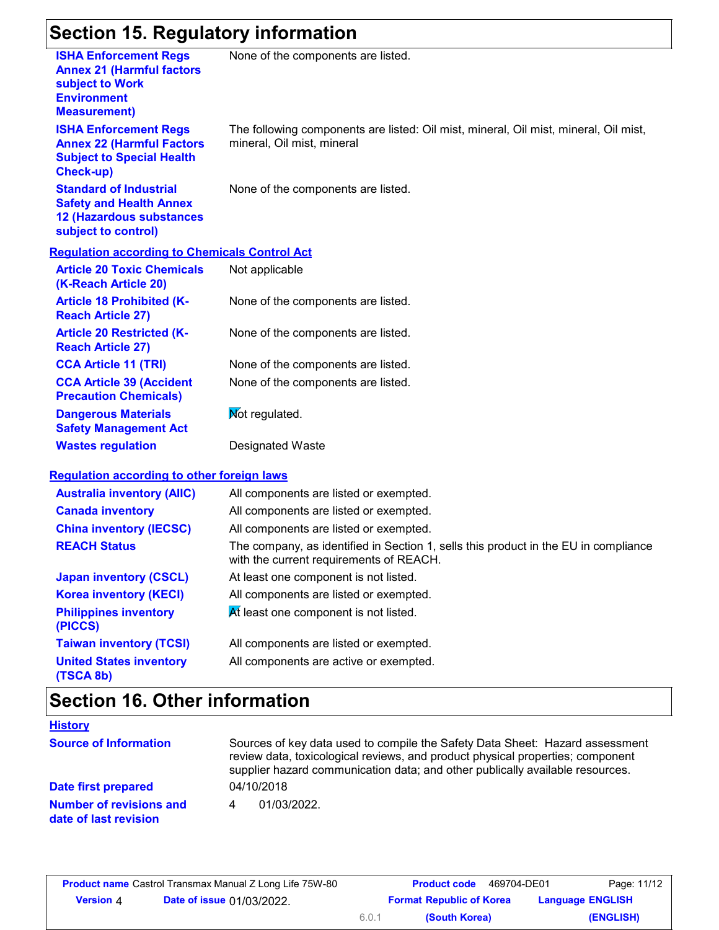### **Section 15. Regulatory information**

| Secuon 19. Regulatory information                                                                                                |                                                                                                                                |
|----------------------------------------------------------------------------------------------------------------------------------|--------------------------------------------------------------------------------------------------------------------------------|
| <b>ISHA Enforcement Regs</b><br><b>Annex 21 (Harmful factors</b><br>subject to Work<br><b>Environment</b><br><b>Measurement)</b> | None of the components are listed.                                                                                             |
| <b>ISHA Enforcement Regs</b><br><b>Annex 22 (Harmful Factors</b><br><b>Subject to Special Health</b><br><b>Check-up)</b>         | The following components are listed: Oil mist, mineral, Oil mist, mineral, Oil mist,<br>mineral, Oil mist, mineral             |
| <b>Standard of Industrial</b><br><b>Safety and Health Annex</b><br><b>12 (Hazardous substances</b><br>subject to control)        | None of the components are listed.                                                                                             |
| <b>Regulation according to Chemicals Control Act</b>                                                                             |                                                                                                                                |
| <b>Article 20 Toxic Chemicals</b><br>(K-Reach Article 20)                                                                        | Not applicable                                                                                                                 |
| <b>Article 18 Prohibited (K-</b><br><b>Reach Article 27)</b>                                                                     | None of the components are listed.                                                                                             |
| <b>Article 20 Restricted (K-</b><br><b>Reach Article 27)</b>                                                                     | None of the components are listed.                                                                                             |
| <b>CCA Article 11 (TRI)</b>                                                                                                      | None of the components are listed.                                                                                             |
| <b>CCA Article 39 (Accident</b><br><b>Precaution Chemicals)</b>                                                                  | None of the components are listed.                                                                                             |
| <b>Dangerous Materials</b><br><b>Safety Management Act</b>                                                                       | Mot regulated.                                                                                                                 |
| <b>Wastes regulation</b>                                                                                                         | <b>Designated Waste</b>                                                                                                        |
| <b>Requlation according to other foreign laws</b>                                                                                |                                                                                                                                |
| <b>Australia inventory (AIIC)</b>                                                                                                | All components are listed or exempted.                                                                                         |
| <b>Canada inventory</b>                                                                                                          | All components are listed or exempted.                                                                                         |
| <b>China inventory (IECSC)</b>                                                                                                   | All components are listed or exempted.                                                                                         |
| <b>REACH Status</b>                                                                                                              | The company, as identified in Section 1, sells this product in the EU in compliance<br>with the current requirements of REACH. |
| <b>Japan inventory (CSCL)</b>                                                                                                    | At least one component is not listed.                                                                                          |
| <b>Korea inventory (KECI)</b>                                                                                                    | All components are listed or exempted.                                                                                         |
| <b>Philippines inventory</b><br>(PICCS)                                                                                          | At least one component is not listed.                                                                                          |
| <b>Taiwan inventory (TCSI)</b>                                                                                                   | All components are listed or exempted.                                                                                         |
| <b>United States inventory</b><br>(TSCA 8b)                                                                                      | All components are active or exempted.                                                                                         |

# **Section 16. Other information**

| <b>History</b>                                          |                                                                                                                                                                                                                                                 |
|---------------------------------------------------------|-------------------------------------------------------------------------------------------------------------------------------------------------------------------------------------------------------------------------------------------------|
| <b>Source of Information</b>                            | Sources of key data used to compile the Safety Data Sheet: Hazard assessment<br>review data, toxicological reviews, and product physical properties; component<br>supplier hazard communication data; and other publically available resources. |
| Date first prepared                                     | 04/10/2018                                                                                                                                                                                                                                      |
| <b>Number of revisions and</b><br>date of last revision | 01/03/2022                                                                                                                                                                                                                                      |